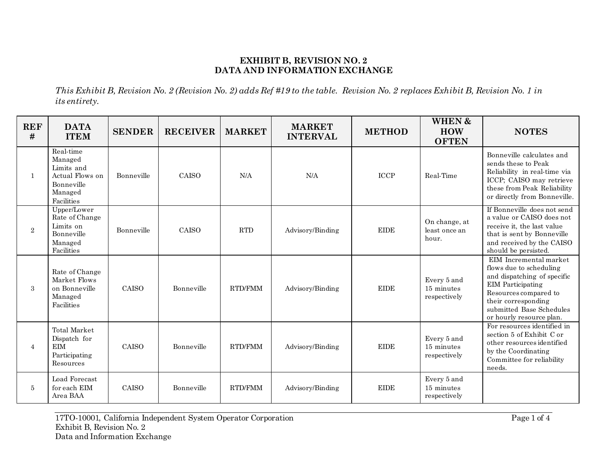## **EXHIBIT B, REVISION NO. 2 DATA AND INFORMATION EXCHANGE**

*This Exhibit B, Revision No. 2 (Revision No. 2) adds Ref #19 to the table. Revision No. 2 replaces Exhibit B, Revision No. 1 in its entirety.*

| <b>REF</b><br># | <b>DATA</b><br><b>ITEM</b>                                                                   | <b>SENDER</b> | <b>RECEIVER</b> | <b>MARKET</b>  | <b>MARKET</b><br><b>INTERVAL</b> | <b>METHOD</b> | <b>WHEN &amp;</b><br><b>HOW</b><br><b>OFTEN</b> | <b>NOTES</b>                                                                                                                                                                                                  |
|-----------------|----------------------------------------------------------------------------------------------|---------------|-----------------|----------------|----------------------------------|---------------|-------------------------------------------------|---------------------------------------------------------------------------------------------------------------------------------------------------------------------------------------------------------------|
| $\mathbf{1}$    | Real-time<br>Managed<br>Limits and<br>Actual Flows on<br>Bonneville<br>Managed<br>Facilities | Bonneville    | CAISO           | N/A            | N/A                              | <b>ICCP</b>   | Real-Time                                       | Bonneville calculates and<br>sends these to Peak<br>Reliability in real-time via<br>ICCP; CAISO may retrieve<br>these from Peak Reliability<br>or directly from Bonneville.                                   |
| $\overline{2}$  | Upper/Lower<br>Rate of Change<br>Limits on<br>Bonneville<br>Managed<br>Facilities            | Bonneville    | CAISO           | <b>RTD</b>     | Advisory/Binding                 | <b>EIDE</b>   | On change, at<br>least once an<br>hour.         | If Bonneville does not send<br>a value or CAISO does not<br>receive it, the last value<br>that is sent by Bonneville<br>and received by the CAISO<br>should be persisted.                                     |
| $\sqrt{3}$      | Rate of Change<br>Market Flows<br>on Bonneville<br>Managed<br>Facilities                     | CAISO         | Bonneville      | RTD/FMM        | Advisory/Binding                 | <b>EIDE</b>   | Every 5 and<br>15 minutes<br>respectively       | EIM Incremental market<br>flows due to scheduling<br>and dispatching of specific<br>EIM Participating<br>Resources compared to<br>their corresponding<br>submitted Base Schedules<br>or hourly resource plan. |
| $\overline{4}$  | Total Market<br>Dispatch for<br><b>EIM</b><br>Participating<br>Resources                     | CAISO         | Bonneville      | <b>RTD/FMM</b> | Advisory/Binding                 | <b>EIDE</b>   | Every 5 and<br>15 minutes<br>respectively       | For resources identified in<br>section 5 of Exhibit C or<br>other resources identified<br>by the Coordinating<br>Committee for reliability<br>needs.                                                          |
| 5               | Load Forecast<br>for each EIM<br>Area BAA                                                    | CAISO         | Bonneville      | RTD/FMM        | Advisory/Binding                 | <b>EIDE</b>   | Every 5 and<br>15 minutes<br>respectively       |                                                                                                                                                                                                               |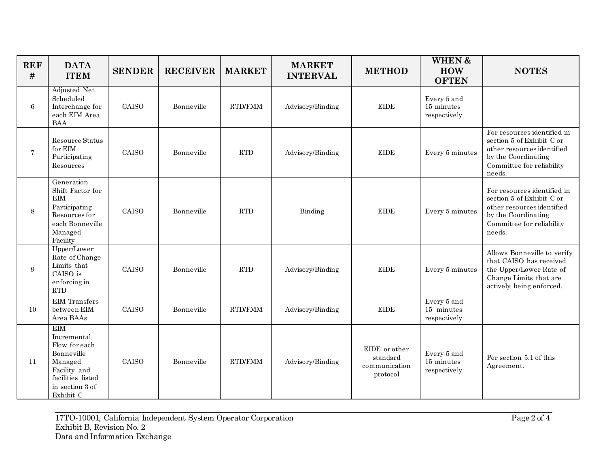| <b>REF</b><br># | <b>DATA</b><br><b>ITEM</b>                                                                                                               | <b>SENDER</b> | <b>RECEIVER</b> | <b>MARKET</b>  | <b>MARKET</b><br><b>INTERVAL</b> | <b>METHOD</b>                                          | WHEN &<br><b>HOW</b><br><b>OFTEN</b>      | <b>NOTES</b>                                                                                                                                         |
|-----------------|------------------------------------------------------------------------------------------------------------------------------------------|---------------|-----------------|----------------|----------------------------------|--------------------------------------------------------|-------------------------------------------|------------------------------------------------------------------------------------------------------------------------------------------------------|
| 6               | Adjusted Net<br>Scheduled<br>Interchange for<br>each EIM Area<br><b>BAA</b>                                                              | CAISO         | Bonneville      | <b>RTD/FMM</b> | Advisory/Binding                 | <b>EIDE</b>                                            | Every 5 and<br>15 minutes<br>respectively |                                                                                                                                                      |
| $\overline{7}$  | Resource Status<br>for EIM<br>Participating<br>Resources                                                                                 | CAISO         | Bonneville      | <b>RTD</b>     | Advisory/Binding                 | <b>EIDE</b>                                            | Every 5 minutes                           | For resources identified in<br>section 5 of Exhibit C or<br>other resources identified<br>by the Coordinating<br>Committee for reliability<br>needs. |
| 8               | Generation<br>Shift Factor for<br>EIM<br>Participating<br>Resources for<br>each Bonneville<br>Managed<br>Facility                        | CAISO         | Bonneville      | <b>RTD</b>     | Binding                          | <b>EIDE</b>                                            | Every 5 minutes                           | For resources identified in<br>section 5 of Exhibit C or<br>other resources identified<br>by the Coordinating<br>Committee for reliability<br>needs. |
| 9               | Upper/Lower<br>Rate of Change<br>Limits that<br>CAISO is<br>enforcing in<br>RTD                                                          | CAISO         | Bonneville      | <b>RTD</b>     | Advisory/Binding                 | <b>EIDE</b>                                            | Every 5 minutes                           | Allows Bonneville to verify<br>that CAISO has received<br>the Upper/Lower Rate of<br>Change Limits that are<br>actively being enforced.              |
| 10              | <b>EIM</b> Transfers<br>between EIM<br>Area BAAs                                                                                         | CAISO         | Bonneville      | RTD/FMM        | Advisory/Binding                 | <b>EIDE</b>                                            | Every 5 and<br>15 minutes<br>respectively |                                                                                                                                                      |
| 11              | <b>EIM</b><br>Incremental<br>Flow for each<br>Bonneville<br>Managed<br>Facility and<br>facilities listed<br>in section 3 of<br>Exhibit C | CAISO         | Bonneville      | <b>RTD/FMM</b> | Advisory/Binding                 | EIDE or other<br>standard<br>communication<br>protocol | Every 5 and<br>15 minutes<br>respectively | Per section 5.1 of this<br>Agreement.                                                                                                                |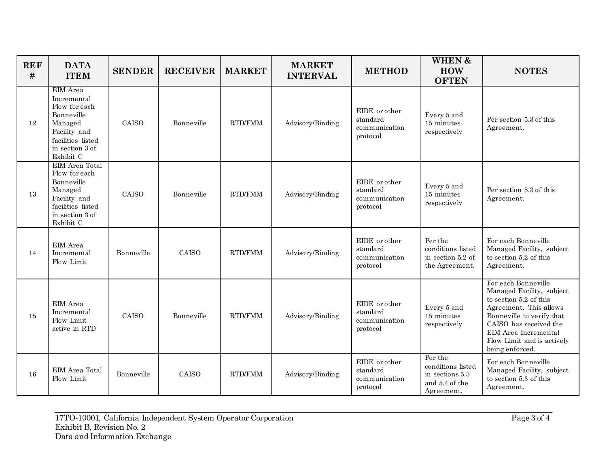| <b>REF</b><br># | <b>DATA</b><br><b>ITEM</b>                                                                                                             | <b>SENDER</b> | <b>RECEIVER</b> | <b>MARKET</b>  | <b>MARKET</b><br><b>INTERVAL</b> | <b>METHOD</b>                                          | <b>WHEN &amp;</b><br><b>HOW</b><br><b>OFTEN</b>                                 | <b>NOTES</b>                                                                                                                                                                                                                         |
|-----------------|----------------------------------------------------------------------------------------------------------------------------------------|---------------|-----------------|----------------|----------------------------------|--------------------------------------------------------|---------------------------------------------------------------------------------|--------------------------------------------------------------------------------------------------------------------------------------------------------------------------------------------------------------------------------------|
| 12              | EIM Area<br>Incremental<br>Flow for each<br>Bonneville<br>Managed<br>Facility and<br>facilities listed<br>in section 3 of<br>Exhibit C | CAISO         | Bonneville      | <b>RTD/FMM</b> | Advisory/Binding                 | EIDE or other<br>standard<br>communication<br>protocol | Every 5 and<br>15 minutes<br>respectively                                       | Per section 5.3 of this<br>Agreement.                                                                                                                                                                                                |
| 13              | EIM Area Total<br>Flow for each<br>Bonneville<br>Managed<br>Facility and<br>facilities listed<br>in section 3 of<br>Exhibit C          | CAISO         | Bonneville      | <b>RTD/FMM</b> | Advisory/Binding                 | EIDE or other<br>standard<br>communication<br>protocol | Every 5 and<br>15 minutes<br>respectively                                       | Per section 5.3 of this<br>Agreement.                                                                                                                                                                                                |
| 14              | EIM Area<br>Incremental<br>Flow Limit                                                                                                  | Bonneville    | CAISO           | <b>RTD/FMM</b> | Advisory/Binding                 | EIDE or other<br>standard<br>communication<br>protocol | Per the<br>conditions listed<br>in section 5.2 of<br>the Agreement.             | For each Bonneville<br>Managed Facility, subject<br>to section 5.2 of this<br>Agreement.                                                                                                                                             |
| 15              | EIM Area<br>Incremental<br>Flow Limit<br>active in RTD                                                                                 | CAISO         | Bonneville      | <b>RTD/FMM</b> | Advisory/Binding                 | EIDE or other<br>standard<br>communication<br>protocol | Every 5 and<br>15 minutes<br>respectively                                       | For each Bonneville<br>Managed Facility, subject<br>to section 5.2 of this<br>Agreement. This allows<br>Bonneville to verify that<br>CAISO has received the<br>EIM Area Incremental<br>Flow Limit and is actively<br>being enforced. |
| 16              | EIM Area Total<br>Flow Limit                                                                                                           | Bonneville    | CAISO           | RTD/FMM        | Advisory/Binding                 | EIDE or other<br>standard<br>communication<br>protocol | Per the<br>conditions listed<br>in sections 5.3<br>and 5.4 of the<br>Agreement. | For each Bonneville<br>Managed Facility, subject<br>to section 5.3 of this<br>Agreement.                                                                                                                                             |